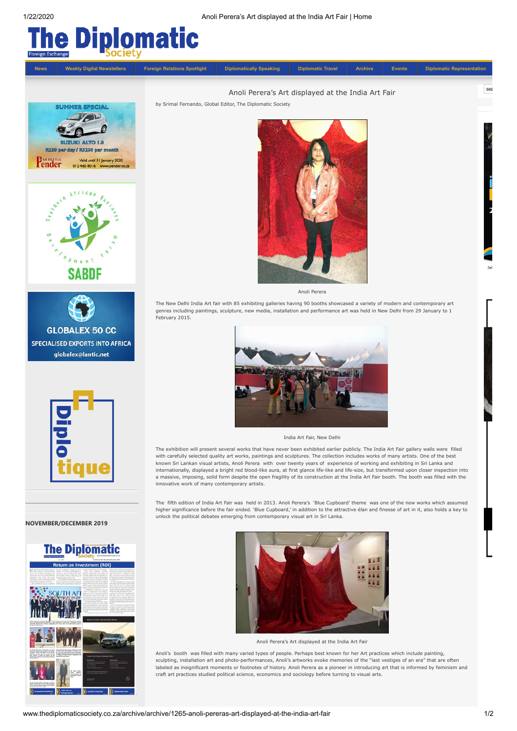



unlock the political debates emerging from contemporary visual art in Sri Lanka.



## **NOVEMBER/DECEMBER 2019**



a massive, imposing, solid form despite the open fragility of its construction at the India Art Fair booth. The booth was filled with the innovative work of many contemporary artists. The fifth edition of India Art Fair was held in 2013. Anoli Perera's 'Blue Cupboard' theme was one of the new works which assumed higher significance before the fair ended. 'Blue Cupboard,' in addition to the attractive élan and finesse of art in it, also holds a key to  $\mathcal{L}_\text{max}$  and the contract of the contract of the contract of the contract of the contract of the contract of the contract of the contract of the contract of the contract of the contract of the contract of the contrac

India Art Fair, New Delhi The exhibition will present several works that have never been exhibited earlier publicly. The India Art Fair gallery walls were filled with carefully selected quality art works, paintings and sculptures. The collection includes works of many artists. One of the best known Sri Lankan visual artists, Anoli Perera with over twenty years of experience of working and exhibiting in Sri Lanka and internationally, displayed a bright red blood-like aura, at first glance life-like and life-size, but transformed upon closer inspection into



Anoli Perera's Art displayed at the India Art Fair

Anoli's booth was filled with many varied types of people. Perhaps best known for her Art practices which include painting, sculpting, installation art and photo-performances, Anoli's artworks evoke memories of the "last vestiges of an era" that are often labeled as insignificant moments or footnotes of history. Anoli Perera as a pioneer in introducing art that is informed by feminism and craft art practices studied political science, economics and sociology before turning to visual arts.

sea